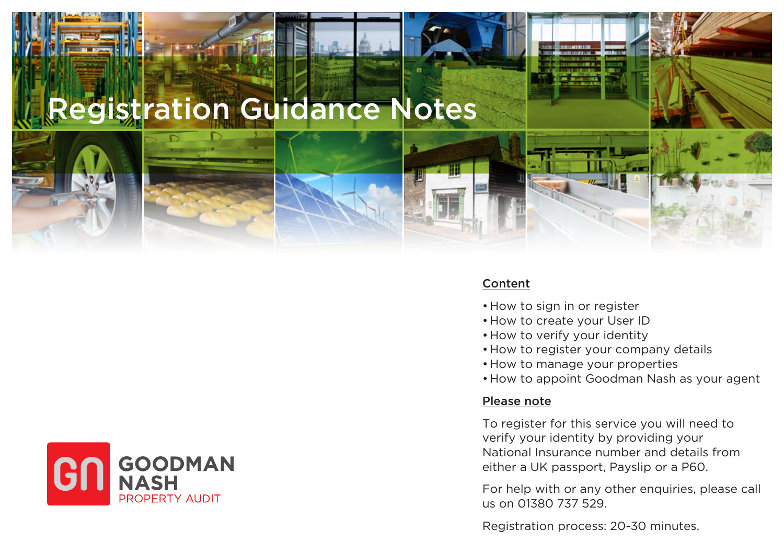# Registration Guidance Notes



#### Content

- •How to sign in or register
- •How to create your User ID
- •How to verify your identity
- •How to register your company details
- •How to manage your properties
- •How to appoint Goodman Nash as your agent

#### Please note

To register for this service you will need to verify your identity by providing your National Insurance number and details from either a UK passport, Payslip or a P60.

For help with or any other enquiries, please call us on 01380 737 529.

Registration process: 20-30 minutes.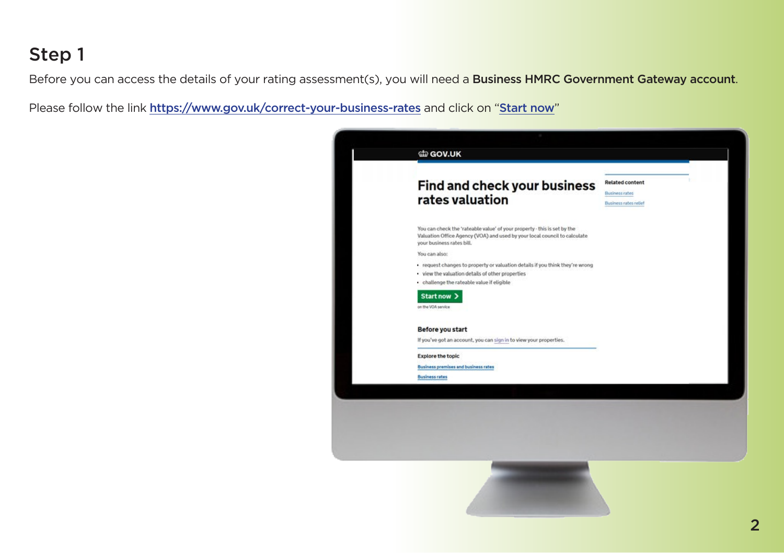Before you can access the details of your rating assessment(s), you will need a Business HMRC Government Gateway account.

Please follow the link https://www.gov.uk/correct-your-business-rates and click on "Start now"

| Find and check your business                                                                                                                                                       |                                                       |
|------------------------------------------------------------------------------------------------------------------------------------------------------------------------------------|-------------------------------------------------------|
| rates valuation                                                                                                                                                                    | <b>Business rates</b><br><b>Business rates relief</b> |
| You can check the 'rateable value' of your property - this is set by the<br>Valuation Office Agency (VOA) and used by your local council to calculate<br>your business rates bill. |                                                       |
| You can also:                                                                                                                                                                      |                                                       |
| . request changes to property or valuation details if you think they're wrong                                                                                                      |                                                       |
| . view the valuation details of other properties<br>. challenge the rateable value if eligible                                                                                     |                                                       |
| Start now >                                                                                                                                                                        |                                                       |
| on the VOA service                                                                                                                                                                 |                                                       |
|                                                                                                                                                                                    |                                                       |
| Before you start                                                                                                                                                                   |                                                       |
| If you've got an account, you can sign in to view your properties.                                                                                                                 |                                                       |
| <b>Explore the topic</b>                                                                                                                                                           |                                                       |
| <b>Business premises and business rates</b>                                                                                                                                        |                                                       |
| <b>Business rates</b>                                                                                                                                                              |                                                       |
|                                                                                                                                                                                    |                                                       |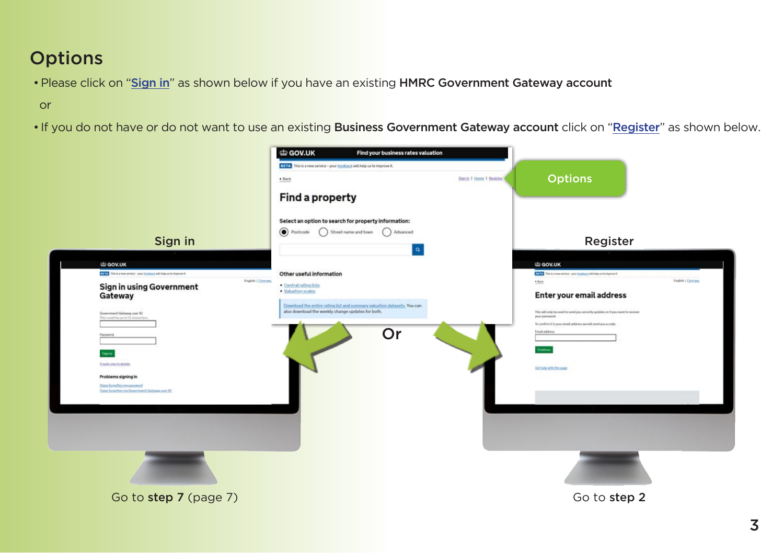### **Options**

•Please click on "Sign in" as shown below if you have an existing HMRC Government Gateway account

or

• If you do not have or do not want to use an existing Business Government Gateway account click on "Register" as shown below.

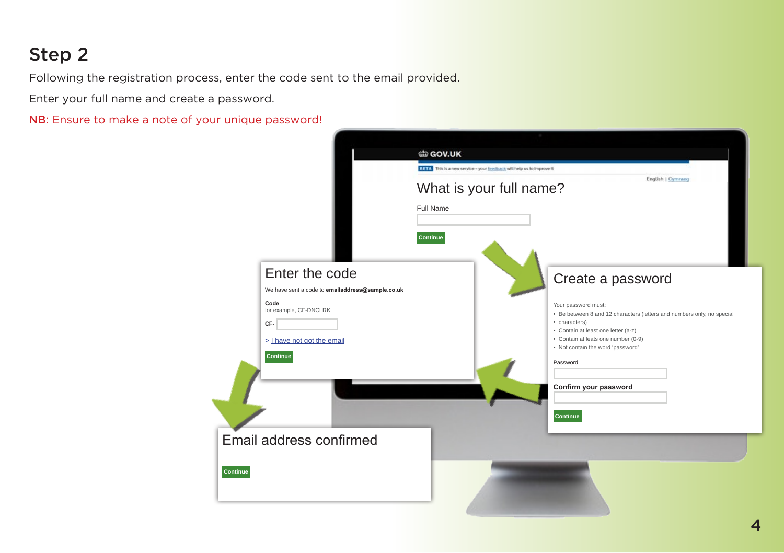Following the registration process, enter the code sent to the email provided.

Enter your full name and create a password.

NB: Ensure to make a note of your unique password!

|                                                  | di GOV.UK                                                                                  |
|--------------------------------------------------|--------------------------------------------------------------------------------------------|
|                                                  | BETA This is a new service - your feedback will help us to improve it<br>English   Cymraeg |
|                                                  | What is your full name?                                                                    |
|                                                  | Full Name                                                                                  |
|                                                  |                                                                                            |
|                                                  | <b>Continue</b>                                                                            |
|                                                  |                                                                                            |
| Enter the code                                   | Create a password                                                                          |
| We have sent a code to emailaddress@sample.co.uk |                                                                                            |
| Code<br>for example, CF-DNCLRK                   | Your password must:                                                                        |
| CF-                                              | • Be between 8 and 12 characters (letters and numbers only, no special<br>• characters)    |
| > Lhave not got the email                        | • Contain at least one letter (a-z)<br>• Contain at leats one number (0-9)                 |
| <b>Continue</b>                                  | . Not contain the word 'password'                                                          |
|                                                  | Password                                                                                   |
|                                                  | Confirm your password                                                                      |
|                                                  |                                                                                            |
|                                                  | Continue                                                                                   |
|                                                  |                                                                                            |
| Email address confirmed                          |                                                                                            |
|                                                  |                                                                                            |
| Continue                                         |                                                                                            |
|                                                  |                                                                                            |
|                                                  |                                                                                            |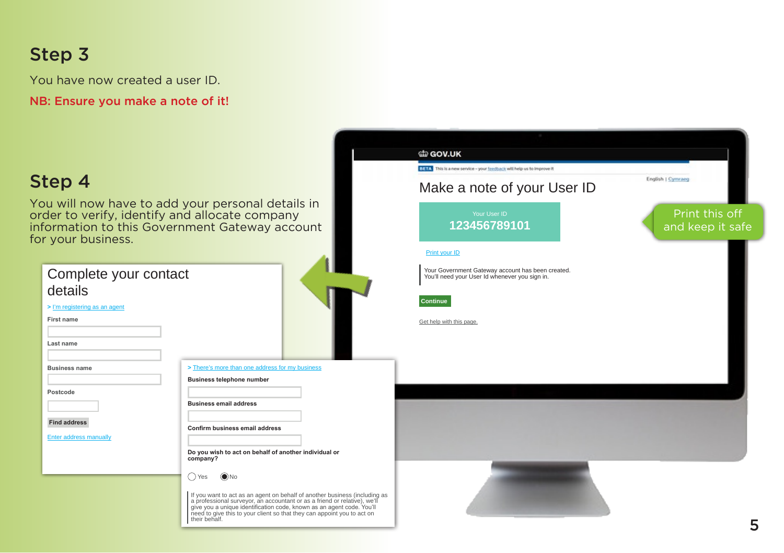You have now created a user ID.

NB: Ensure you make a note of it!

#### di GOV.UK BETA This is a new service - your feedback will help us to improve it Step 4 English | Cymraeg Make a note of your User ID You will now have to add your personal details in order to verify, identify and allocate company Print this off Your User ID information to this Government Gateway account **123456789101** and keep it safe for your business. Print your ID Complete your contact Your Government Gateway account has been created. You'll need your User Id whenever you sign in. details **Continue >** I'm registering as an agent **First name** Get help with this page. **Last name Business name >** There's more than one address for my business **Business telephone number Postcode Business email address Find address Confirm business email address** Enter address manually **Do you wish to act on behalf of another individual or company?** Yes No If you want to act as an agent on behalf of another business (including as<br>a professional surveyor, an accountant or as a friend or relative), we'll<br>give you a unique identification code, known as an agent code. You'll<br>nee their behalf. **5**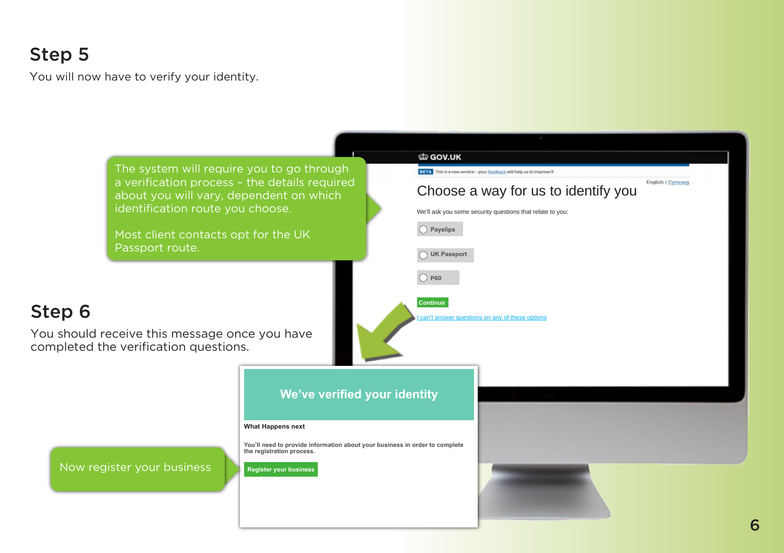You will now have to verify your identity.

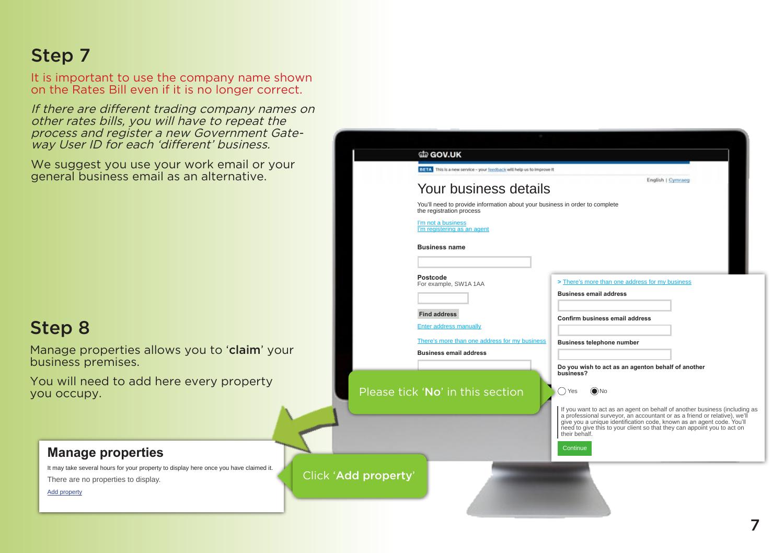It is important to use the company name shown on the Rates Bill even if it is no longer correct.

If there are different trading company names on other rates bills, you will have to repeat the process and register a new Government Gateway User ID for each 'different' business.

We suggest you use your work email or your general business email as an alternative.

### Step 8

Add property

Manage properties allows you to 'claim' your business premises.

You will need to add here every property you occupy.

It may take several hours for your property to display here once you have claimed it.

**Manage properties**

There are no properties to display.



7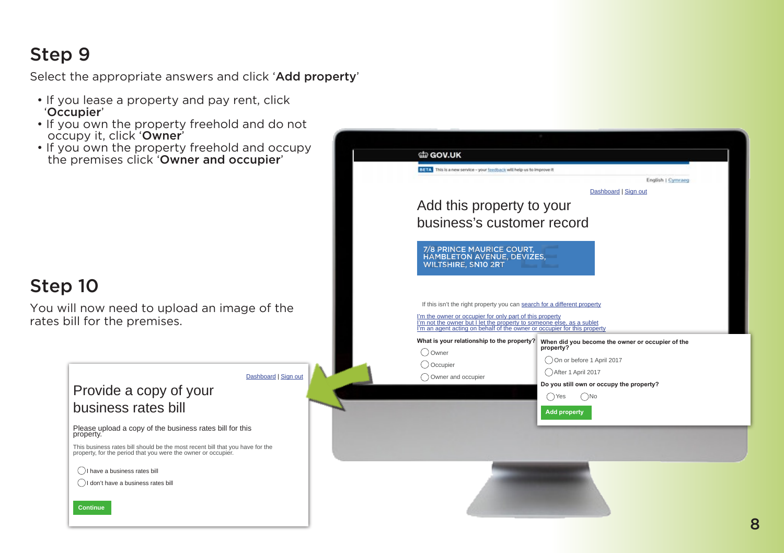Select the appropriate answers and click 'Add property'

- If you lease a property and pay rent, click 'Occupier'
- If you own the property freehold and do not occupy it, click 'Owner'
- If you own the property freehold and occupy the premises click 'Owner and occupier'



di GOV.UK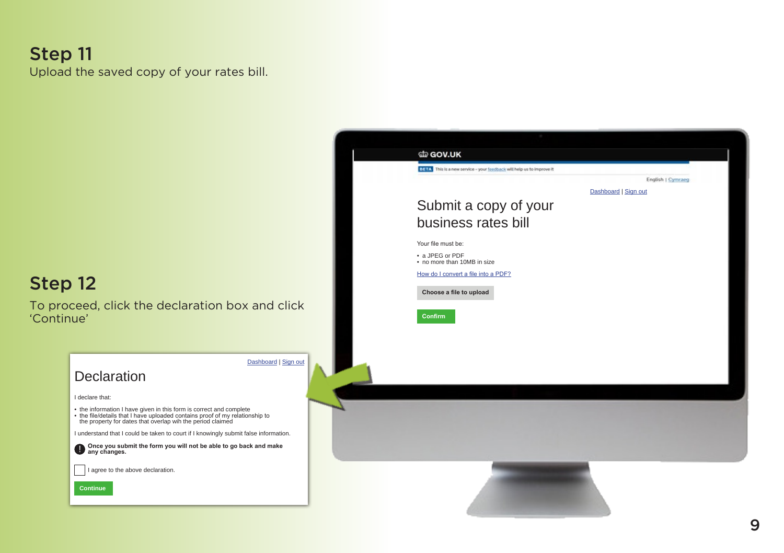#### Step 11 Upload the saved copy of your rates bill.

#### Step 12

To proceed, click the declaration box and click 'Continue'



Submit a copy of your business rates bill

BETA This is a new service - your feedback will help us to improve it

Your file must be: • a JPEG or PDF • no more than 10MB in size How do I convert a file into a PDF?  **Choose a file to upload**

di GOV.UK

Dashboard | Sign out

English | Cymraeg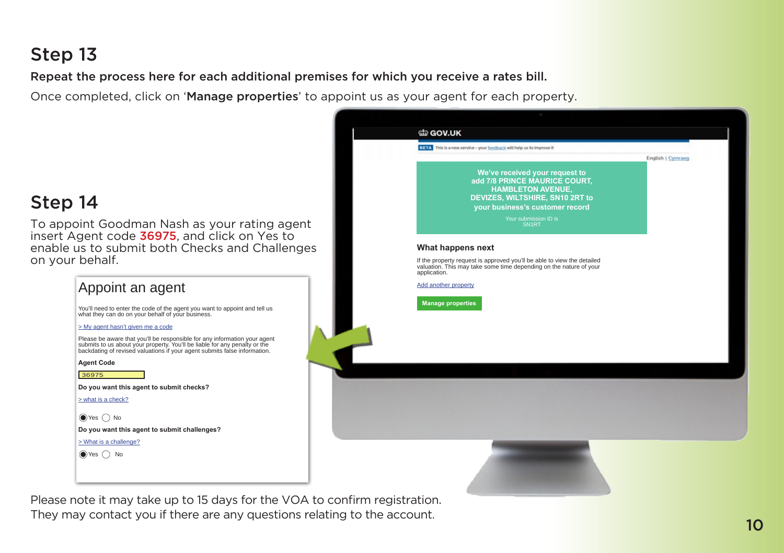Repeat the process here for each additional premises for which you receive a rates bill.

Once completed, click on 'Manage properties' to appoint us as your agent for each property.



#### Step 14

To appoint Goodman Nash as your rating agent insert Agent code 36975, and click on Yes to enable us to submit both Checks and Challenges on your behalf.

| Appoint an agent                                                                                                                                                                                                                     |  |
|--------------------------------------------------------------------------------------------------------------------------------------------------------------------------------------------------------------------------------------|--|
| You'll need to enter the code of the agent you want to appoint and tell us<br>what they can do on your behalf of your business.                                                                                                      |  |
| > My agent hasn't given me a code                                                                                                                                                                                                    |  |
| Please be aware that you'll be responsible for any information your agent<br>submits to us about your property. You'll be liable for any penalty or the<br>backdating of revised valuations if your agent submits false information. |  |
| <b>Agent Code</b>                                                                                                                                                                                                                    |  |
| 36975                                                                                                                                                                                                                                |  |
| Do you want this agent to submit checks?                                                                                                                                                                                             |  |
| $>$ what is a check?                                                                                                                                                                                                                 |  |
| $\bigcirc$ Yes $\bigcap$ No                                                                                                                                                                                                          |  |
| Do you want this agent to submit challenges?                                                                                                                                                                                         |  |
| $>$ What is a challenge?                                                                                                                                                                                                             |  |
|                                                                                                                                                                                                                                      |  |

Please note it may take up to 15 days for the VOA to confirm registration. They may contact you if there are any questions relating to the account.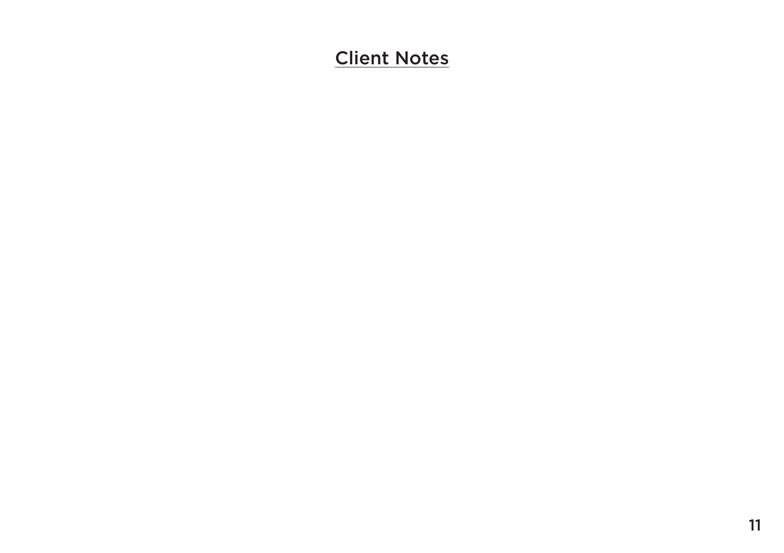# Client Notes